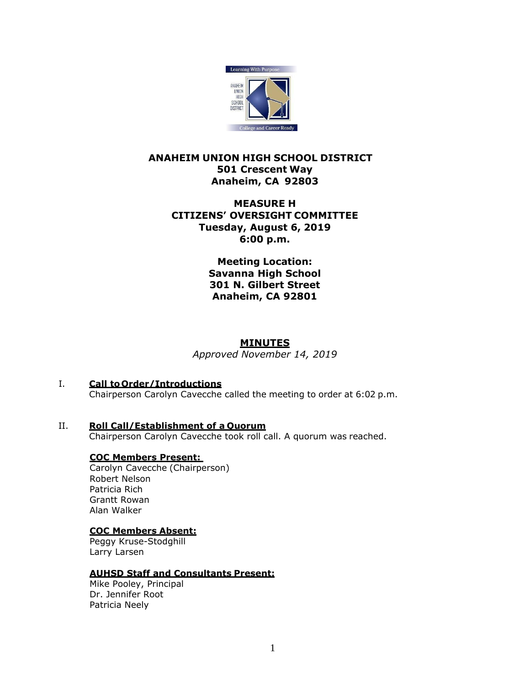

# **ANAHEIM UNION HIGH SCHOOL DISTRICT 501 Crescent Way Anaheim, CA 92803**

# **MEASURE H CITIZENS' OVERSIGHT COMMITTEE Tuesday, August 6, 2019 6:00 p.m.**

**Meeting Location: Savanna High School 301 N. Gilbert Street Anaheim, CA 92801**

# **MINUTES**

*Approved November 14, 2019* 

- I. **Call to Order/Introductions** Chairperson Carolyn Cavecche called the meeting to order at 6:02 p.m.
- II. **Roll Call/Establishment of a Quorum** Chairperson Carolyn Cavecche took roll call. A quorum was reached.

## **COC Members Present:**

Carolyn Cavecche (Chairperson) Robert Nelson Patricia Rich Grantt Rowan Alan Walker

## **COC Members Absent:**

Peggy Kruse-Stodghill Larry Larsen

### **AUHSD Staff and Consultants Present:**

Mike Pooley, Principal Dr. Jennifer Root Patricia Neely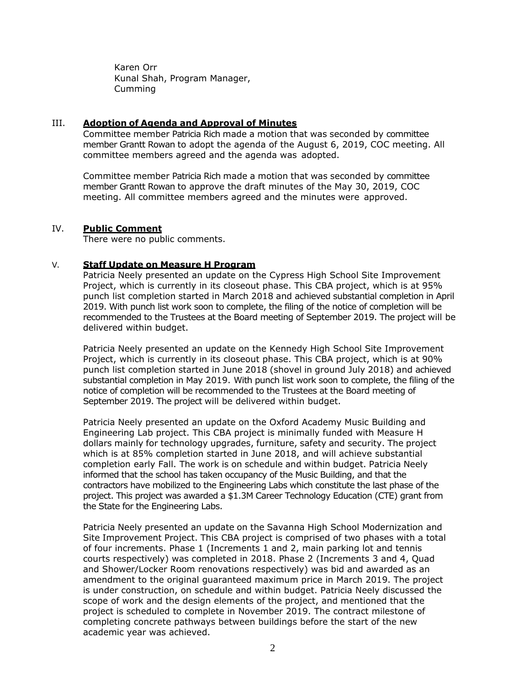Karen Orr Kunal Shah, Program Manager, Cumming

#### III. **Adoption of Agenda and Approval of Minutes**

Committee member Patricia Rich made a motion that was seconded by committee member Grantt Rowan to adopt the agenda of the August 6, 2019, COC meeting. All committee members agreed and the agenda was adopted.

Committee member Patricia Rich made a motion that was seconded by committee member Grantt Rowan to approve the draft minutes of the May 30, 2019, COC meeting. All committee members agreed and the minutes were approved.

### IV. **Public Comment**

There were no public comments.

### V. **Staff Update on Measure H Program**

Patricia Neely presented an update on the Cypress High School Site Improvement Project, which is currently in its closeout phase. This CBA project, which is at 95% punch list completion started in March 2018 and achieved substantial completion in April 2019. With punch list work soon to complete, the filing of the notice of completion will be recommended to the Trustees at the Board meeting of September 2019. The project will be delivered within budget.

Patricia Neely presented an update on the Kennedy High School Site Improvement Project, which is currently in its closeout phase. This CBA project, which is at 90% punch list completion started in June 2018 (shovel in ground July 2018) and achieved substantial completion in May 2019. With punch list work soon to complete, the filing of the notice of completion will be recommended to the Trustees at the Board meeting of September 2019. The project will be delivered within budget.

Patricia Neely presented an update on the Oxford Academy Music Building and Engineering Lab project. This CBA project is minimally funded with Measure H dollars mainly for technology upgrades, furniture, safety and security. The project which is at 85% completion started in June 2018, and will achieve substantial completion early Fall. The work is on schedule and within budget. Patricia Neely informed that the school has taken occupancy of the Music Building, and that the contractors have mobilized to the Engineering Labs which constitute the last phase of the project. This project was awarded a \$1.3M Career Technology Education (CTE) grant from the State for the Engineering Labs.

Patricia Neely presented an update on the Savanna High School Modernization and Site Improvement Project. This CBA project is comprised of two phases with a total of four increments. Phase 1 (Increments 1 and 2, main parking lot and tennis courts respectively) was completed in 2018. Phase 2 (Increments 3 and 4, Quad and Shower/Locker Room renovations respectively) was bid and awarded as an amendment to the original guaranteed maximum price in March 2019. The project is under construction, on schedule and within budget. Patricia Neely discussed the scope of work and the design elements of the project, and mentioned that the project is scheduled to complete in November 2019. The contract milestone of completing concrete pathways between buildings before the start of the new academic year was achieved.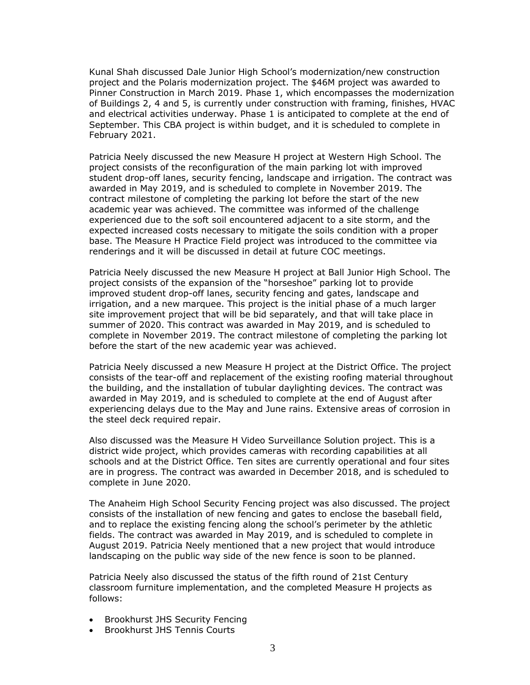Kunal Shah discussed Dale Junior High School's modernization/new construction project and the Polaris modernization project. The \$46M project was awarded to Pinner Construction in March 2019. Phase 1, which encompasses the modernization of Buildings 2, 4 and 5, is currently under construction with framing, finishes, HVAC and electrical activities underway. Phase 1 is anticipated to complete at the end of September. This CBA project is within budget, and it is scheduled to complete in February 2021.

Patricia Neely discussed the new Measure H project at Western High School. The project consists of the reconfiguration of the main parking lot with improved student drop-off lanes, security fencing, landscape and irrigation. The contract was awarded in May 2019, and is scheduled to complete in November 2019. The contract milestone of completing the parking lot before the start of the new academic year was achieved. The committee was informed of the challenge experienced due to the soft soil encountered adjacent to a site storm, and the expected increased costs necessary to mitigate the soils condition with a proper base. The Measure H Practice Field project was introduced to the committee via renderings and it will be discussed in detail at future COC meetings.

Patricia Neely discussed the new Measure H project at Ball Junior High School. The project consists of the expansion of the "horseshoe" parking lot to provide improved student drop-off lanes, security fencing and gates, landscape and irrigation, and a new marquee. This project is the initial phase of a much larger site improvement project that will be bid separately, and that will take place in summer of 2020. This contract was awarded in May 2019, and is scheduled to complete in November 2019. The contract milestone of completing the parking lot before the start of the new academic year was achieved.

Patricia Neely discussed a new Measure H project at the District Office. The project consists of the tear-off and replacement of the existing roofing material throughout the building, and the installation of tubular daylighting devices. The contract was awarded in May 2019, and is scheduled to complete at the end of August after experiencing delays due to the May and June rains. Extensive areas of corrosion in the steel deck required repair.

Also discussed was the Measure H Video Surveillance Solution project. This is a district wide project, which provides cameras with recording capabilities at all schools and at the District Office. Ten sites are currently operational and four sites are in progress. The contract was awarded in December 2018, and is scheduled to complete in June 2020.

The Anaheim High School Security Fencing project was also discussed. The project consists of the installation of new fencing and gates to enclose the baseball field, and to replace the existing fencing along the school's perimeter by the athletic fields. The contract was awarded in May 2019, and is scheduled to complete in August 2019. Patricia Neely mentioned that a new project that would introduce landscaping on the public way side of the new fence is soon to be planned.

Patricia Neely also discussed the status of the fifth round of 21st Century classroom furniture implementation, and the completed Measure H projects as follows:

- Brookhurst JHS Security Fencing
- Brookhurst JHS Tennis Courts